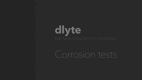



# **dlyte** THE NEW CONCEPT OF POLISHING

Corrosion tests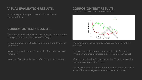# **VISUAL EVALUATION RESULTS.**

# **CORROSION TESTS RESULTS.**

Shinnier aspect than parts treated with traditional electropolishing

The electrochemical behaviour of samples has been studied in a highly corrosive solution ([NaCl]= 30 g/L).

Measure of open circuit potential after 0 2 4 and 6 hours of immersion.

Measure of polarization resistance after 0 2 and 4 hours of immersion.

Measure of anodic polarization after 6 hours of immersion.

The dry EP sample has a better protection to corrosion until 6 hours of immersion (green curve above the red curve)



The traditionnaly EP sample becomes less noble over time (red curve)

The dry EP sample becomes more noble until 2 hours of immersion and then decreases progressively (green curve)

After 6 hours, the dry EP sample and the EP sample have the same corrosion potential (Ecorr)

#### **CORROSION TEST RESULTS.** CORROSION POTENTIAL VS IMMERSION TIME

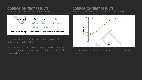#### **CORROSION TEST RESULTS.** POLARISATION RESISTANCE VS IMMERSION TIME

| Immersion time | 0h.                    | 2h.             | 4h              |
|----------------|------------------------|-----------------|-----------------|
|                | $0,45 \text{ k}\Omega$ | 2,83 k $\Omega$ | $0,91 k\Omega$  |
| <b>CES</b>     | 7,87 k $\Omega$        | 12,40 $k\Omega$ | 14,34 $k\Omega$ |

Table 2: Values of polarisation resistance depending on immersion time

Up to 4h of immersion, the dry EP sample has a higher polarisation resistance (Rp).

#### **CORROSION TEST RESULTS.** ANODIC POLARISATION AFTER 6 HOURS OF IMMERSION



As Rp is inversely proportionnal to the corrosion rate, the dry EP sample corrodes between 4 to 15 times slower than the tradionally EP sample

The two samples show the same behaviour after 6 hours of immersion.

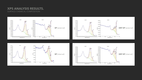#### **XPS ANALYSIS RESULTS.** SURFACE CHEMICAL COMPOSITION









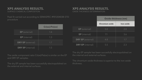Peak fit carried out according to SEMASPEC #90120403B-STI procedure

The dry EP sample has been succesfully electropolished on the external and internal surfaces.

The dry EP sample has been succesfully electropolished on the internal and external surfaces.

The chromium oxide thickness is superior to the iron oxide thickness.

### **XPS ANALYSIS RESULTS.** SURFACE CHEMICAL COMPOSITION

#### **XPS ANALYSIS RESULTS.** OXIDE THICKNESS DETERMINATION

|                          | Cr(ox)/Fe(ox)    |
|--------------------------|------------------|
| <b>EP</b> (external)     | 1.4              |
| <b>EP</b> (internal)     | $1.\overline{3}$ |
| <b>DRY EP</b> (external) | 1.7              |
| <b>DRY EP</b> (internal) | 1.5              |

The oxide component ratio Cr(ox)/Fe(ox) is similar on the EP and DRY EP samples.

|  |                          | <b>Oxide thickness (nm)</b> |                   |  |
|--|--------------------------|-----------------------------|-------------------|--|
|  |                          | <b>Chromium oxide</b>       | <b>Iron oxide</b> |  |
|  | <b>EP</b> (external)     | 5.0                         | 2.0               |  |
|  | <b>EP</b> (internal)     | 7.1                         | 3.6               |  |
|  | <b>DRY EP</b> (external) | 4.8                         | 1.7               |  |
|  | <b>DRY EP</b> (internal) | 5.5                         | 2.3               |  |